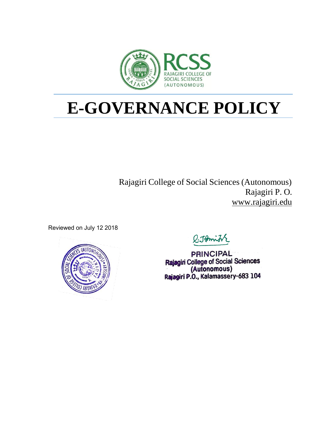

# **E-GOVERNANCE POLICY**

Rajagiri College of Social Sciences (Autonomous) Rajagiri P. O. [www.rajagiri.edu](http://www.rajagiri.edu/)

Reviewed on July 12 2018



Q.JAmi

**PRINCIPAL** Rajagiri College of Social Sciences (Autonomous)<br>Rajagiri P.O., Kalamassery-683 104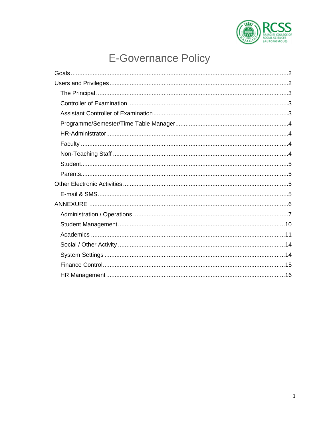

## **E-Governance Policy**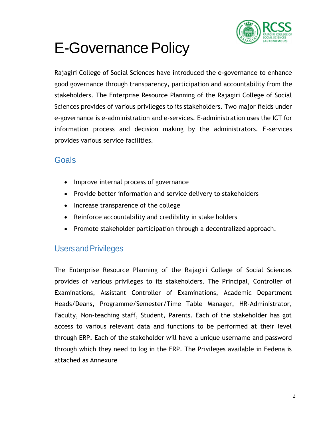

## **E-Governance Policy**

Rajagiri College of Social Sciences have introduced the e-governance to enhance good governance through transparency, participation and accountability from the stakeholders. The Enterprise Resource Planning of the Rajagiri College of Social Sciences provides of various privileges to its stakeholders. Two major fields under e-governance is e-administration and e-services. E-administration uses the ICT for information process and decision making by the administrators. E-services provides various service facilities.

### <span id="page-2-0"></span>**Goals**

- Improve internal process of governance
- Provide better information and service delivery to stakeholders
- Increase transparence of the college
- Reinforce accountability and credibility in stake holders
- Promote stakeholder participation through a decentralized approach.

## <span id="page-2-1"></span>UsersandPrivileges

The Enterprise Resource Planning of the Rajagiri College of Social Sciences provides of various privileges to its stakeholders. The Principal, Controller of Examinations, Assistant Controller of Examinations, Academic Department Heads/Deans, Programme/Semester/Time Table Manager, HR-Administrator, Faculty, Non-teaching staff, Student, Parents. Each of the stakeholder has got access to various relevant data and functions to be performed at their level through ERP. Each of the stakeholder will have a unique username and password through which they need to log in the ERP. The Privileges available in Fedena is attached as Annexure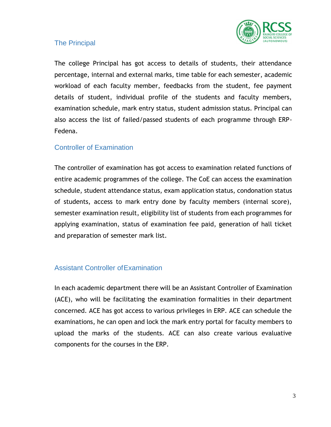

#### <span id="page-3-0"></span>The Principal

The college Principal has got access to details of students, their attendance percentage, internal and external marks, time table for each semester, academic workload of each faculty member, feedbacks from the student, fee payment details of student, individual profile of the students and faculty members, examination schedule, mark entry status, student admission status. Principal can also access the list of failed/passed students of each programme through ERP-Fedena.

#### <span id="page-3-1"></span>Controller of Examination

The controller of examination has got access to examination related functions of entire academic programmes of the college. The CoE can access the examination schedule, student attendance status, exam application status, condonation status of students, access to mark entry done by faculty members (internal score), semester examination result, eligibility list of students from each programmes for applying examination, status of examination fee paid, generation of hall ticket and preparation of semester mark list.

#### <span id="page-3-2"></span>Assistant Controller ofExamination

In each academic department there will be an Assistant Controller of Examination (ACE), who will be facilitating the examination formalities in their department concerned. ACE has got access to various privileges in ERP. ACE can schedule the examinations, he can open and lock the mark entry portal for faculty members to upload the marks of the students. ACE can also create various evaluative components for the courses in the ERP.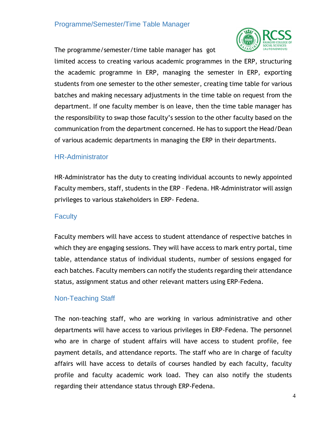#### <span id="page-4-0"></span>Programme/Semester/Time Table Manager

The programme/semester/time table manager has got



limited access to creating various academic programmes in the ERP, structuring the academic programme in ERP, managing the semester in ERP, exporting students from one semester to the other semester, creating time table for various batches and making necessary adjustments in the time table on request from the department. If one faculty member is on leave, then the time table manager has the responsibility to swap those faculty's session to the other faculty based on the communication from the department concerned. He has to support the Head/Dean of various academic departments in managing the ERP in their departments.

#### <span id="page-4-1"></span>HR-Administrator

HR-Administrator has the duty to creating individual accounts to newly appointed Faculty members, staff, students in the ERP – Fedena. HR-Administrator will assign privileges to various stakeholders in ERP- Fedena.

#### <span id="page-4-2"></span>**Faculty**

Faculty members will have access to student attendance of respective batches in which they are engaging sessions. They will have access to mark entry portal, time table, attendance status of individual students, number of sessions engaged for each batches. Faculty members can notify the students regarding their attendance status, assignment status and other relevant matters using ERP-Fedena.

#### <span id="page-4-3"></span>Non-Teaching Staff

The non-teaching staff, who are working in various administrative and other departments will have access to various privileges in ERP-Fedena. The personnel who are in charge of student affairs will have access to student profile, fee payment details, and attendance reports. The staff who are in charge of faculty affairs will have access to details of courses handled by each faculty, faculty profile and faculty academic work load. They can also notify the students regarding their attendance status through ERP-Fedena.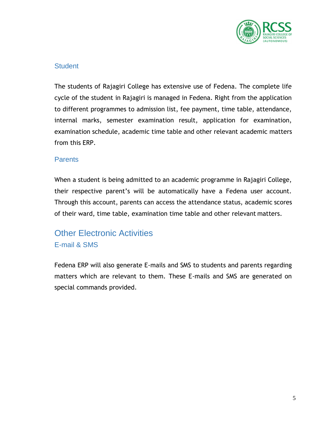

#### <span id="page-5-0"></span>**Student**

The students of Rajagiri College has extensive use of Fedena. The complete life cycle of the student in Rajagiri is managed in Fedena. Right from the application to different programmes to admission list, fee payment, time table, attendance, internal marks, semester examination result, application for examination, examination schedule, academic time table and other relevant academic matters from this ERP.

#### <span id="page-5-1"></span>**Parents**

When a student is being admitted to an academic programme in Rajagiri College, their respective parent's will be automatically have a Fedena user account. Through this account, parents can access the attendance status, academic scores of their ward, time table, examination time table and other relevant matters.

## <span id="page-5-3"></span><span id="page-5-2"></span>Other Electronic Activities E-mail & SMS

Fedena ERP will also generate E-mails and SMS to students and parents regarding matters which are relevant to them. These E-mails and SMS are generated on special commands provided.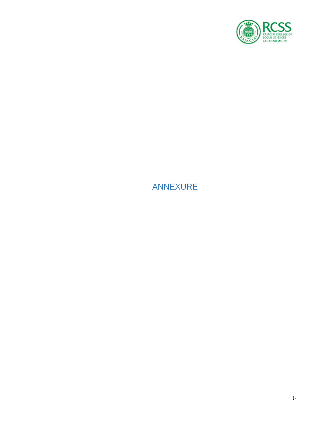

## <span id="page-6-1"></span><span id="page-6-0"></span>ANNEXURE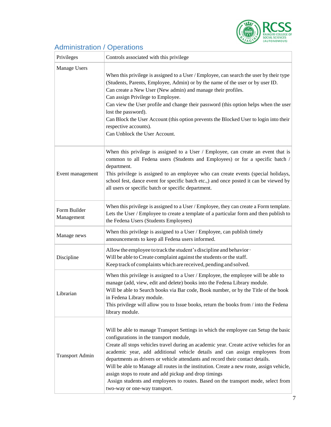

## Administration / Operations

| Privileges                 | Controls associated with this privilege                                                                                                                                                                                                                                                                                                                                                                                                                                                                                                                                                                                                                                |
|----------------------------|------------------------------------------------------------------------------------------------------------------------------------------------------------------------------------------------------------------------------------------------------------------------------------------------------------------------------------------------------------------------------------------------------------------------------------------------------------------------------------------------------------------------------------------------------------------------------------------------------------------------------------------------------------------------|
| Manage Users               | When this privilege is assigned to a User / Employee, can search the user by their type<br>(Students, Parents, Employee, Admin) or by the name of the user or by user ID.<br>Can create a New User (New admin) and manage their profiles.<br>Can assign Privilege to Employee.<br>Can view the User profile and change their password (this option helps when the user<br>lost the password).<br>Can Block the User Account (this option prevents the Blocked User to login into their<br>respective accounts).<br>Can Unblock the User Account.                                                                                                                       |
| Event management           | When this privilege is assigned to a User / Employee, can create an event that is<br>common to all Fedena users (Students and Employees) or for a specific batch /<br>department.<br>This privilege is assigned to an employee who can create events (special holidays,<br>school fest, dance event for specific batch etc.,) and once posted it can be viewed by<br>all users or specific batch or specific department.                                                                                                                                                                                                                                               |
| Form Builder<br>Management | When this privilege is assigned to a User / Employee, they can create a Form template.<br>Lets the User / Employee to create a template of a particular form and then publish to<br>the Fedena Users (Students Employees)                                                                                                                                                                                                                                                                                                                                                                                                                                              |
| Manage news                | When this privilege is assigned to a User / Employee, can publish timely<br>announcements to keep all Fedena users informed.                                                                                                                                                                                                                                                                                                                                                                                                                                                                                                                                           |
| Discipline                 | Allow the employee to track the student's discipline and behavior $\cdot$<br>Will be able to Create complaint against the students or the staff.<br>Keep track of complaints which are received, pending and solved.                                                                                                                                                                                                                                                                                                                                                                                                                                                   |
| Librarian                  | When this privilege is assigned to a User / Employee, the employee will be able to<br>manage (add, view, edit and delete) books into the Fedena Library module.<br>Will be able to Search books via Bar code, Book number, or by the Title of the book<br>in Fedena Library module.<br>This privilege will allow you to Issue books, return the books from / into the Fedena<br>library module.                                                                                                                                                                                                                                                                        |
| <b>Transport Admin</b>     | Will be able to manage Transport Settings in which the employee can Setup the basic<br>configurations in the transport module,<br>Create all stops vehicles travel during an academic year. Create active vehicles for an<br>academic year, add additional vehicle details and can assign employees from<br>departments as drivers or vehicle attendants and record their contact details.<br>Will be able to Manage all routes in the institution. Create a new route, assign vehicle,<br>assign stops to route and add pickup and drop timings<br>Assign students and employees to routes. Based on the transport mode, select from<br>two-way or one-way transport. |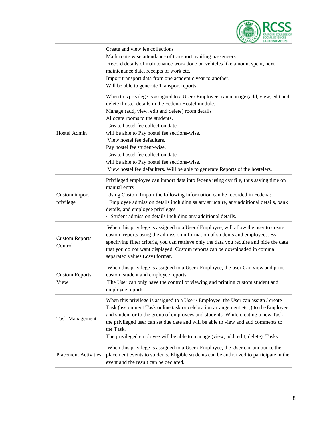

|                                  | Create and view fee collections<br>Mark route wise attendance of transport availing passengers<br>Record details of maintenance work done on vehicles like amount spent, next<br>maintenance date, receipts of work etc.,<br>Import transport data from one academic year to another.<br>Will be able to generate Transport reports                                                                                                                                                                                                                               |
|----------------------------------|-------------------------------------------------------------------------------------------------------------------------------------------------------------------------------------------------------------------------------------------------------------------------------------------------------------------------------------------------------------------------------------------------------------------------------------------------------------------------------------------------------------------------------------------------------------------|
| Hostel Admin                     | When this privilege is assigned to a User / Employee, can manage (add, view, edit and<br>delete) hostel details in the Fedena Hostel module.<br>Manage (add, view, edit and delete) room details<br>Allocate rooms to the students.<br>Create hostel fee collection date.<br>will be able to Pay hostel fee sections-wise.<br>View hostel fee defaulters.<br>Pay hostel fee student-wise.<br>Create hostel fee collection date<br>will be able to Pay hostel fee sections-wise.<br>View hostel fee defaulters. Will be able to generate Reports of the hostelers. |
| Custom import<br>privilege       | Privileged employee can import data into fedena using csv file, thus saving time on<br>manual entry<br>Using Custom Import the following information can be recorded in Fedena:<br>· Employee admission details including salary structure, any additional details, bank<br>details, and employee privileges<br>· Student admission details including any additional details.                                                                                                                                                                                     |
| <b>Custom Reports</b><br>Control | When this privilege is assigned to a User / Employee, will allow the user to create<br>custom reports using the admission information of students and employees. By<br>specifying filter criteria, you can retrieve only the data you require and hide the data<br>that you do not want displayed. Custom reports can be downloaded in comma<br>separated values (.csv) format.                                                                                                                                                                                   |
| <b>Custom Reports</b><br>View    | When this privilege is assigned to a User / Employee, the user Can view and print<br>custom student and employee reports.<br>The User can only have the control of viewing and printing custom student and<br>employee reports.                                                                                                                                                                                                                                                                                                                                   |
| <b>Task Management</b>           | When this privilege is assigned to a User / Employee, the User can assign / create<br>Task (assignment Task online task or celebration arrangement etc.,) to the Employee<br>and student or to the group of employees and students. While creating a new Task<br>the privileged user can set due date and will be able to view and add comments to<br>the Task.<br>The privileged employee will be able to manage (view, add, edit, delete). Tasks.                                                                                                               |
| <b>Placement Activities</b>      | When this privilege is assigned to a User / Employee, the User can announce the<br>placement events to students. Eligible students can be authorized to participate in the<br>event and the result can be declared.                                                                                                                                                                                                                                                                                                                                               |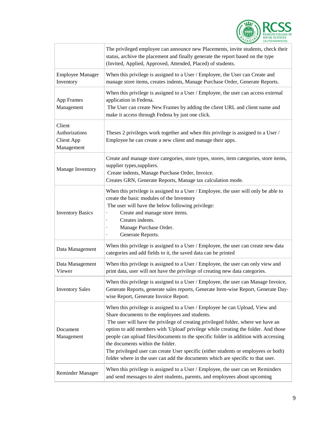

|                                                             | The privileged employee can announce new Placements, invite students, check their<br>status, archive the placement and finally generate the report based on the type<br>(Invited, Applied, Approved, Attended, Placed) of students.                                                                                                                                                                                                                                                                                                                                                                           |
|-------------------------------------------------------------|---------------------------------------------------------------------------------------------------------------------------------------------------------------------------------------------------------------------------------------------------------------------------------------------------------------------------------------------------------------------------------------------------------------------------------------------------------------------------------------------------------------------------------------------------------------------------------------------------------------|
| <b>Employee Manager</b><br>Inventory                        | When this privilege is assigned to a User / Employee, the User can Create and<br>manage store items, creates indents, Manage Purchase Order, Generate Reports.                                                                                                                                                                                                                                                                                                                                                                                                                                                |
| <b>App Frames</b><br>Management                             | When this privilege is assigned to a User / Employee, the user can access external<br>application in Fedena.<br>The User can create New Frames by adding the client URL and client name and<br>make it access through Fedena by just one click.                                                                                                                                                                                                                                                                                                                                                               |
| Client<br>Authorizations<br><b>Client App</b><br>Management | Theses 2 privileges work together and when this privilege is assigned to a User /<br>Employee he can create a new client and manage their apps.                                                                                                                                                                                                                                                                                                                                                                                                                                                               |
| Manage Inventory                                            | Create and manage store categories, store types, stores, item categories, store items,<br>supplier types, suppliers.<br>Create indents, Manage Purchase Order, Invoice.<br>Creates GRN, Generate Reports, Manage tax calculation mode.                                                                                                                                                                                                                                                                                                                                                                        |
| <b>Inventory Basics</b>                                     | When this privilege is assigned to a User / Employee, the user will only be able to<br>create the basic modules of the Inventory<br>The user will have the below following privilege:<br>Create and manage store items.<br>Creates indents.<br>Manage Purchase Order.<br>Generate Reports.                                                                                                                                                                                                                                                                                                                    |
| Data Management                                             | When this privilege is assigned to a User / Employee, the user can create new data<br>categories and add fields to it, the saved data can be printed                                                                                                                                                                                                                                                                                                                                                                                                                                                          |
| Data Management<br>Viewer                                   | When this privilege is assigned to a User / Employee, the user can only view and<br>print data, user will not have the privilege of creating new data categories.                                                                                                                                                                                                                                                                                                                                                                                                                                             |
| <b>Inventory Sales</b>                                      | When this privilege is assigned to a User / Employee, the user can Manage Invoice,<br>Generate Reports, generate sales reports, Generate Item-wise Report, Generate Day-<br>wise Report, Generate Invoice Report.                                                                                                                                                                                                                                                                                                                                                                                             |
| Document<br>Management                                      | When this privilege is assigned to a User / Employee he can Upload, View and<br>Share documents to the employees and students.<br>The user will have the privilege of creating privileged folder, where we have an<br>option to add members with 'Upload' privilege while creating the folder. And those<br>people can upload files/documents to the specific folder in addition with accessing<br>the documents within the folder.<br>The privileged user can create User specific (either students or employees or both)<br>folder where in the user can add the documents which are specific to that user. |
| Reminder Manager                                            | When this privilege is assigned to a User / Employee, the user can set Reminders<br>and send messages to alert students, parents, and employees about upcoming                                                                                                                                                                                                                                                                                                                                                                                                                                                |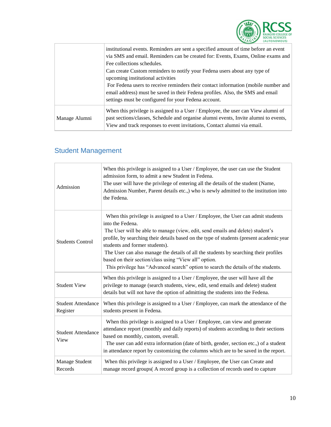

|               | institutional events. Reminders are sent a specified amount of time before an event<br>via SMS and email. Reminders can be created for: Events, Exams, Online exams and                                                                               |
|---------------|-------------------------------------------------------------------------------------------------------------------------------------------------------------------------------------------------------------------------------------------------------|
|               | Fee collections schedules.                                                                                                                                                                                                                            |
|               | Can create Custom reminders to notify your Fedena users about any type of<br>upcoming institutional activities                                                                                                                                        |
|               | For Fedena users to receive reminders their contact information (mobile number and<br>email address) must be saved in their Fedena profiles. Also, the SMS and email<br>settings must be configured for your Fedena account.                          |
| Manage Alumni | When this privilege is assigned to a User / Employee, the user can View alumni of<br>past sections/classes, Schedule and organise alumni events, Invite alumni to events,<br>View and track responses to event invitations, Contact alumni via email. |

## <span id="page-10-0"></span>Student Management

| Admission                             | When this privilege is assigned to a User / Employee, the user can use the Student<br>admission form, to admit a new Student in Fedena.<br>The user will have the privilege of entering all the details of the student (Name,<br>Admission Number, Parent details etc.,) who is newly admitted to the institution into<br>the Fedena.                                                                                                                                                                                                                        |
|---------------------------------------|--------------------------------------------------------------------------------------------------------------------------------------------------------------------------------------------------------------------------------------------------------------------------------------------------------------------------------------------------------------------------------------------------------------------------------------------------------------------------------------------------------------------------------------------------------------|
| <b>Students Control</b>               | When this privilege is assigned to a User / Employee, the User can admit students<br>into the Fedena.<br>The User will be able to manage (view, edit, send emails and delete) student's<br>profile, by searching their details based on the type of students (present academic year<br>students and former students).<br>The User can also manage the details of all the students by searching their profiles<br>based on their section/class using "View all" option.<br>This privilege has "Advanced search" option to search the details of the students. |
| <b>Student View</b>                   | When this privilege is assigned to a User / Employee, the user will have all the<br>privilege to manage (search students, view, edit, send emails and delete) student<br>details but will not have the option of admitting the students into the Fedena.                                                                                                                                                                                                                                                                                                     |
| <b>Student Attendance</b><br>Register | When this privilege is assigned to a User / Employee, can mark the attendance of the<br>students present in Fedena.                                                                                                                                                                                                                                                                                                                                                                                                                                          |
| <b>Student Attendance</b><br>View     | When this privilege is assigned to a User / Employee, can view and generate<br>attendance report (monthly and daily reports) of students according to their sections<br>based on monthly, custom, overall.<br>The user can add extra information (date of birth, gender, section etc.,) of a student<br>in attendance report by customizing the columns which are to be saved in the report.                                                                                                                                                                 |
| Manage Student<br>Records             | When this privilege is assigned to a User / Employee, the User can Create and<br>manage record groups(A record group is a collection of records used to capture                                                                                                                                                                                                                                                                                                                                                                                              |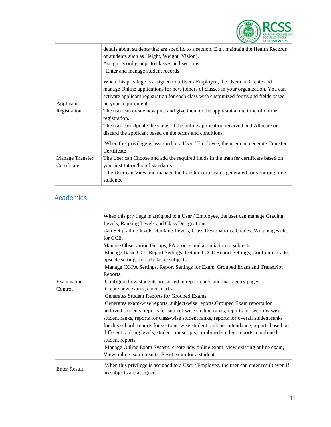

|                                | details about students that are specific to a section. E.g., maintain the Health Records<br>of students such as Height, Weight, Vision).<br>Assign record groups to classes and sections<br>Enter and manage student records                                                                                                                                                                                                                                                                                                                  |
|--------------------------------|-----------------------------------------------------------------------------------------------------------------------------------------------------------------------------------------------------------------------------------------------------------------------------------------------------------------------------------------------------------------------------------------------------------------------------------------------------------------------------------------------------------------------------------------------|
| Applicant<br>Registration      | When this privilege is assigned to a User / Employee, the User can Create and<br>manage Online applications for new joiners of classes in your organization. You can<br>activate applicant registration for each class with customized forms and fields based<br>on your requirements.<br>The user can create new pins and give them to the applicant at the time of online<br>registration.<br>The user can Update the status of the online application received and Allocate or<br>discard the applicant based on the terms and conditions. |
| Manage Transfer<br>Certificate | When this privilege is assigned to a User / Employee, the user can generate Transfer<br>Certificate<br>The User can Choose and add the required fields in the transfer certificate based on<br>your institution/board standards.<br>The User can View and manage the transfer certificates generated for your outgoing<br>students.                                                                                                                                                                                                           |

## <span id="page-11-0"></span>Academics

|                     | When this privilege is assigned to a User / Employee, the user can manage Grading<br>Levels, Ranking Levels and Class Designations. |
|---------------------|-------------------------------------------------------------------------------------------------------------------------------------|
|                     | Can Set grading levels, Ranking Levels, Class Designations, Grades, Weightages etc.<br>for CCE.                                     |
|                     | Manage Observation Groups, FA groups and association to subjects.                                                                   |
|                     | Manage Basic CCE Report Settings, Detailed CCE Report Settings, Configure grade,<br>upscale settings for scholastic subjects.       |
|                     | Manage CGPA Settings, Report Settings for Exam, Grouped Exam and Transcript                                                         |
|                     | Reports.                                                                                                                            |
| Examination         | Configure how students are sorted in report cards and mark entry pages.                                                             |
| Control             | Create new exams, enter marks                                                                                                       |
|                     | Generates Student Reports for Grouped Exams.                                                                                        |
|                     | Generates exam-wise reports, subject-wise reports, Grouped Exam reports for                                                         |
|                     | archived students, reports for subject-wise student ranks, reports for sections-wise                                                |
|                     | student ranks, reports for class-wise student ranks, reports for overall student ranks                                              |
|                     | for this school, reports for sections-wise student rank per attendance, reports based on                                            |
|                     | different ranking levels, student transcripts, combined student reports, combined                                                   |
|                     | student reports.                                                                                                                    |
|                     | Manage Online Exam System, create new online exam, view existing online exam,                                                       |
|                     | View online exam results, Reset exam for a student.                                                                                 |
| <b>Enter Result</b> | When this privilege is assigned to a User / Employee, the user can enter result even if<br>no subjects are assigned.                |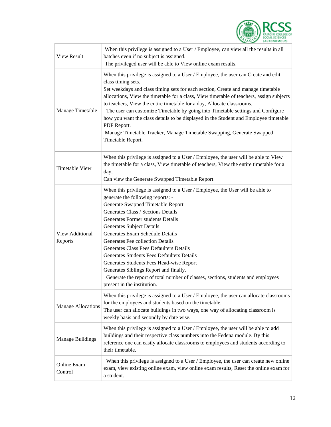

| <b>View Result</b>         | When this privilege is assigned to a User / Employee, can view all the results in all<br>batches even if no subject is assigned.<br>The privileged user will be able to View online exam results.                                                                                                                                                                                                                                                                                                                                                                                                                                                          |
|----------------------------|------------------------------------------------------------------------------------------------------------------------------------------------------------------------------------------------------------------------------------------------------------------------------------------------------------------------------------------------------------------------------------------------------------------------------------------------------------------------------------------------------------------------------------------------------------------------------------------------------------------------------------------------------------|
| Manage Timetable           | When this privilege is assigned to a User / Employee, the user can Create and edit<br>class timing sets.<br>Set weekdays and class timing sets for each section, Create and manage timetable<br>allocations, View the timetable for a class, View timetable of teachers, assign subjects<br>to teachers, View the entire timetable for a day, Allocate classrooms.<br>The user can customize Timetable by going into Timetable settings and Configure<br>how you want the class details to be displayed in the Student and Employee timetable<br>PDF Report.<br>Manage Timetable Tracker, Manage Timetable Swapping, Generate Swapped<br>Timetable Report. |
| <b>Timetable View</b>      | When this privilege is assigned to a User / Employee, the user will be able to View<br>the timetable for a class, View timetable of teachers, View the entire timetable for a<br>day,<br>Can view the Generate Swapped Timetable Report                                                                                                                                                                                                                                                                                                                                                                                                                    |
| View Additional<br>Reports | When this privilege is assigned to a User / Employee, the User will be able to<br>generate the following reports: -<br>Generate Swapped Timetable Report<br>Generates Class / Sections Details<br>Generates Former students Details<br><b>Generates Subject Details</b><br>Generates Exam Schedule Details<br>Generates Fee collection Details<br>Generates Class Fees Defaulters Details<br>Generates Students Fees Defaulters Details<br>Generates Students Fees Head-wise Report<br>Generates Siblings Report and finally.<br>Generate the report of total number of classes, sections, students and employees<br>present in the institution.           |
| <b>Manage Allocations</b>  | When this privilege is assigned to a User / Employee, the user can allocate classrooms<br>for the employees and students based on the timetable.<br>The user can allocate buildings in two ways, one way of allocating classroom is<br>weekly basis and secondly by date wise.                                                                                                                                                                                                                                                                                                                                                                             |
| <b>Manage Buildings</b>    | When this privilege is assigned to a User / Employee, the user will be able to add<br>buildings and their respective class numbers into the Fedena module. By this<br>reference one can easily allocate classrooms to employees and students according to<br>their timetable.                                                                                                                                                                                                                                                                                                                                                                              |
| Online Exam<br>Control     | When this privilege is assigned to a User / Employee, the user can create new online<br>exam, view existing online exam, view online exam results, Reset the online exam for<br>a student.                                                                                                                                                                                                                                                                                                                                                                                                                                                                 |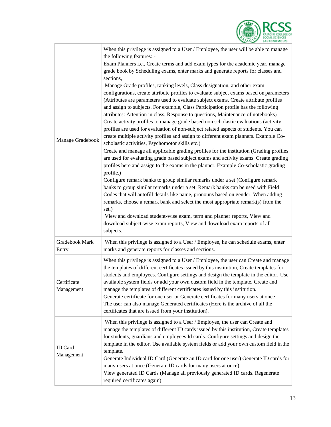

| Manage Gradebook             | When this privilege is assigned to a User / Employee, the user will be able to manage<br>the following features: -<br>Exam Planners i.e., Create terms and add exam types for the academic year, manage<br>grade book by Scheduling exams, enter marks and generate reports for classes and<br>sections,<br>Manage Grade profiles, ranking levels, Class designation, and other exam<br>configurations, create attribute profiles to evaluate subject exams based on parameters<br>(Attributes are parameters used to evaluate subject exams. Create attribute profiles<br>and assign to subjects. For example, Class Participation profile has the following<br>attributes: Attention in class, Response to questions, Maintenance of notebooks)<br>Create activity profiles to manage grade based non scholastic evaluations (activity<br>profiles are used for evaluation of non-subject related aspects of students. You can<br>create multiple activity profiles and assign to different exam planners. Example Co-<br>scholastic activities, Psychomotor skills etc.)<br>Create and manage all applicable grading profiles for the institution (Grading profiles<br>are used for evaluating grade based subject exams and activity exams. Create grading<br>profiles here and assign to the exams in the planner. Example Co-scholastic grading<br>profile.)<br>Configure remark banks to group similar remarks under a set (Configure remark<br>banks to group similar remarks under a set. Remark banks can be used with Field<br>Codes that will autofill details like name, pronouns based on gender. When adding<br>remarks, choose a remark bank and select the most appropriate remark(s) from the<br>set.)<br>View and download student-wise exam, term and planner reports, View and<br>download subject-wise exam reports, View and download exam reports of all<br>subjects. |
|------------------------------|-----------------------------------------------------------------------------------------------------------------------------------------------------------------------------------------------------------------------------------------------------------------------------------------------------------------------------------------------------------------------------------------------------------------------------------------------------------------------------------------------------------------------------------------------------------------------------------------------------------------------------------------------------------------------------------------------------------------------------------------------------------------------------------------------------------------------------------------------------------------------------------------------------------------------------------------------------------------------------------------------------------------------------------------------------------------------------------------------------------------------------------------------------------------------------------------------------------------------------------------------------------------------------------------------------------------------------------------------------------------------------------------------------------------------------------------------------------------------------------------------------------------------------------------------------------------------------------------------------------------------------------------------------------------------------------------------------------------------------------------------------------------------------------------------------------------------------------------------------------------------------------------------|
| Gradebook Mark<br>Entry      | When this privilege is assigned to a User / Employee, he can schedule exams, enter<br>marks and generate reports for classes and sections.                                                                                                                                                                                                                                                                                                                                                                                                                                                                                                                                                                                                                                                                                                                                                                                                                                                                                                                                                                                                                                                                                                                                                                                                                                                                                                                                                                                                                                                                                                                                                                                                                                                                                                                                                    |
| Certificate<br>Management    | When this privilege is assigned to a User / Employee, the user can Create and manage<br>the templates of different certificates issued by this institution, Create templates for<br>students and employees. Configure settings and design the template in the editor. Use<br>available system fields or add your own custom field in the template. Create and<br>manage the templates of different certificates issued by this institution.<br>Generate certificate for one user or Generate certificates for many users at once<br>The user can also manage Generated certificates (Here is the archive of all the<br>certificates that are issued from your institution).                                                                                                                                                                                                                                                                                                                                                                                                                                                                                                                                                                                                                                                                                                                                                                                                                                                                                                                                                                                                                                                                                                                                                                                                                   |
| <b>ID</b> Card<br>Management | When this privilege is assigned to a User / Employee, the user can Create and<br>manage the templates of different ID cards issued by this institution, Create templates<br>for students, guardians and employees Id cards. Configure settings and design the<br>template in the editor. Use available system fields or add your own custom field in the<br>template.<br>Generate Individual ID Card (Generate an ID card for one user) Generate ID cards for<br>many users at once (Generate ID cards for many users at once).<br>View generated ID Cards (Manage all previously generated ID cards. Regenerate<br>required certificates again)                                                                                                                                                                                                                                                                                                                                                                                                                                                                                                                                                                                                                                                                                                                                                                                                                                                                                                                                                                                                                                                                                                                                                                                                                                              |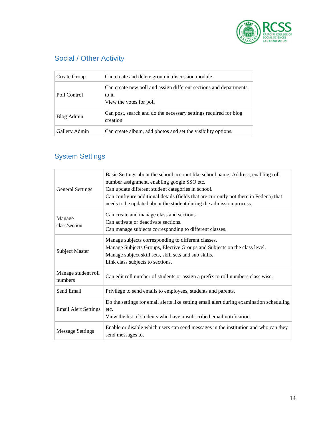

## <span id="page-14-0"></span>Social / Other Activity

| Create Group  | Can create and delete group in discussion module.                                                      |
|---------------|--------------------------------------------------------------------------------------------------------|
| Poll Control  | Can create new poll and assign different sections and departments<br>to it.<br>View the votes for poll |
| Blog Admin    | Can post, search and do the necessary settings required for blog<br>creation                           |
| Gallery Admin | Can create album, add photos and set the visibility options.                                           |

## <span id="page-14-1"></span>System Settings

| <b>General Settings</b>        | Basic Settings about the school account like school name, Address, enabling roll<br>number assignment, enabling google SSO etc.<br>Can update different student categories in school.<br>Can configure additional details (fields that are currently not there in Fedena) that<br>needs to be updated about the student during the admission process. |
|--------------------------------|-------------------------------------------------------------------------------------------------------------------------------------------------------------------------------------------------------------------------------------------------------------------------------------------------------------------------------------------------------|
| Manage<br>class/section        | Can create and manage class and sections.<br>Can activate or deactivate sections.<br>Can manage subjects corresponding to different classes.                                                                                                                                                                                                          |
| Subject Master                 | Manage subjects corresponding to different classes.<br>Manage Subjects Groups, Elective Groups and Subjects on the class level.<br>Manage subject skill sets, skill sets and sub skills.<br>Link class subjects to sections.                                                                                                                          |
| Manage student roll<br>numbers | Can edit roll number of students or assign a prefix to roll numbers class wise.                                                                                                                                                                                                                                                                       |
| Send Email                     | Privilege to send emails to employees, students and parents.                                                                                                                                                                                                                                                                                          |
| <b>Email Alert Settings</b>    | Do the settings for email alerts like setting email alert during examination scheduling<br>etc.<br>View the list of students who have unsubscribed email notification.                                                                                                                                                                                |
| <b>Message Settings</b>        | Enable or disable which users can send messages in the institution and who can they<br>send messages to.                                                                                                                                                                                                                                              |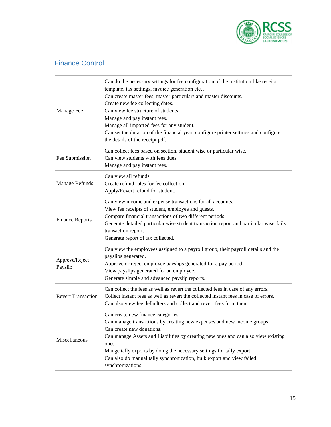

#### <span id="page-15-0"></span>Finance Control

| Manage Fee                | Can do the necessary settings for fee configuration of the institution like receipt<br>template, tax settings, invoice generation etc<br>Can create master fees, master particulars and master discounts.<br>Create new fee collecting dates.<br>Can view fee structure of students.<br>Manage and pay instant fees.<br>Manage all imported fees for any student.<br>Can set the duration of the financial year, configure printer settings and configure<br>the details of the receipt pdf. |
|---------------------------|----------------------------------------------------------------------------------------------------------------------------------------------------------------------------------------------------------------------------------------------------------------------------------------------------------------------------------------------------------------------------------------------------------------------------------------------------------------------------------------------|
| Fee Submission            | Can collect fees based on section, student wise or particular wise.<br>Can view students with fees dues.<br>Manage and pay instant fees.                                                                                                                                                                                                                                                                                                                                                     |
| Manage Refunds            | Can view all refunds.<br>Create refund rules for fee collection.<br>Apply/Revert refund for student.                                                                                                                                                                                                                                                                                                                                                                                         |
| <b>Finance Reports</b>    | Can view income and expense transactions for all accounts.<br>View fee receipts of student, employee and guests.<br>Compare financial transactions of two different periods.<br>Generate detailed particular wise student transaction report and particular wise daily<br>transaction report.<br>Generate report of tax collected.                                                                                                                                                           |
| Approve/Reject<br>Payslip | Can view the employees assigned to a payroll group, their payroll details and the<br>payslips generated.<br>Approve or reject employee payslips generated for a pay period.<br>View payslips generated for an employee.<br>Generate simple and advanced payslip reports.                                                                                                                                                                                                                     |
| <b>Revert Transaction</b> | Can collect the fees as well as revert the collected fees in case of any errors.<br>Collect instant fees as well as revert the collected instant fees in case of errors.<br>Can also view fee defaulters and collect and revert fees from them.                                                                                                                                                                                                                                              |
| Miscellaneous             | Can create new finance categories,<br>Can manage transactions by creating new expenses and new income groups.<br>Can create new donations.<br>Can manage Assets and Liabilities by creating new ones and can also view existing<br>ones.<br>Mange tally exports by doing the necessary settings for tally export.<br>Can also do manual tally synchronization, bulk export and view failed<br>synchronizations.                                                                              |